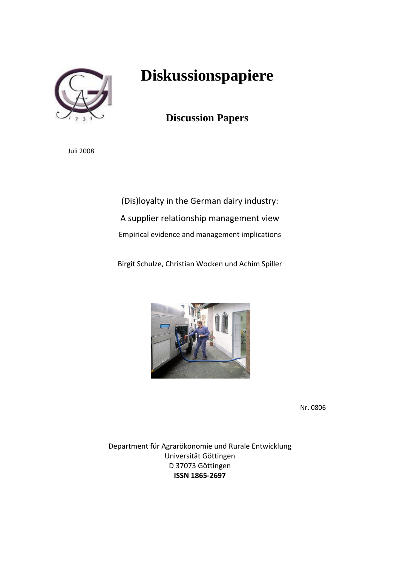

# **Diskussionspapiere**

# **Discussion Papers**

Juli 2008

(Dis)loyalty in the German dairy industry: A supplier relationship management view Empirical evidence and management implications

Birgit Schulze, Christian Wocken und Achim Spiller



Nr. 0806

Department für Agrarökonomie und Rurale Entwicklung Universität Göttingen D 37073 Göttingen **ISSN 1865‐2697**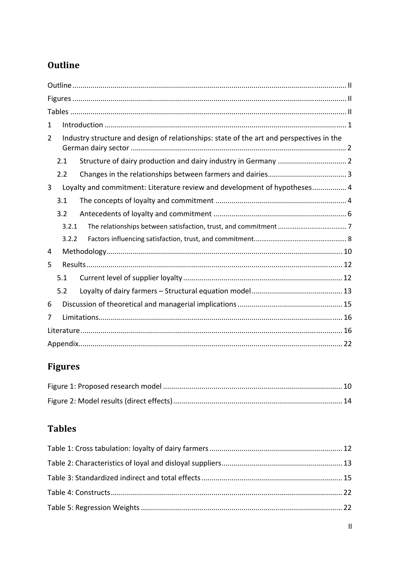# Outline

| 1 |       |                                                                                          |  |
|---|-------|------------------------------------------------------------------------------------------|--|
| 2 |       | Industry structure and design of relationships: state of the art and perspectives in the |  |
|   | 2.1   |                                                                                          |  |
|   | 2.2   |                                                                                          |  |
| 3 |       | Loyalty and commitment: Literature review and development of hypotheses 4                |  |
|   | 3.1   |                                                                                          |  |
|   | 3.2   |                                                                                          |  |
|   | 3.2.1 |                                                                                          |  |
|   | 3.2.2 |                                                                                          |  |
| 4 |       |                                                                                          |  |
| 5 |       |                                                                                          |  |
|   | 5.1   |                                                                                          |  |
|   | 5.2   |                                                                                          |  |
| 6 |       |                                                                                          |  |
| 7 |       |                                                                                          |  |
|   |       |                                                                                          |  |
|   |       |                                                                                          |  |

# Figures

# **Tables**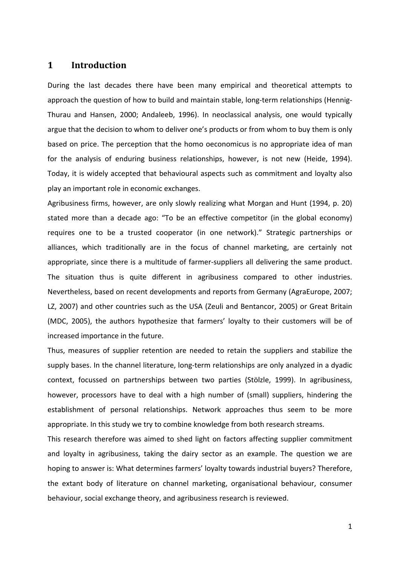### **1 Introduction**

During the last decades there have been many empirical and theoretical attempts to approach the question of how to build and maintain stable, long-term relationships (Hennig-Thurau and Hansen, 2000; Andaleeb, 1996). In neoclassical analysis, one would typically argue that the decision to whom to deliver one's products or from whom to buy them is only based on price. The perception that the homo oeconomicus is no appropriate idea of man for the analysis of enduring business relationships, however, is not new (Heide, 1994). Today, it is widely accepted that behavioural aspects such as commitment and loyalty also play an important role in economic exchanges.

Agribusiness firms, however, are only slowly realizing what Morgan and Hunt (1994, p. 20) stated more than a decade ago: "To be an effective competitor (in the global economy) requires one to be a trusted cooperator (in one network)." Strategic partnerships or alliances, which traditionally are in the focus of channel marketing, are certainly not appropriate, since there is a multitude of farmer-suppliers all delivering the same product. The situation thus is quite different in agribusiness compared to other industries. Nevertheless, based on recent developments and reports from Germany (AgraEurope, 2007; LZ, 2007) and other countries such as the USA (Zeuli and Bentancor, 2005) or Great Britain (MDC, 2005), the authors hypothesize that farmers' loyalty to their customers will be of increased importance in the future.

Thus, measures of supplier retention are needed to retain the suppliers and stabilize the supply bases. In the channel literature, long-term relationships are only analyzed in a dyadic context, focussed on partnerships between two parties (Stölzle, 1999). In agribusiness, however, processors have to deal with a high number of (small) suppliers, hindering the establishment of personal relationships. Network approaches thus seem to be more appropriate. In this study we try to combine knowledge from both research streams.

This research therefore was aimed to shed light on factors affecting supplier commitment and loyalty in agribusiness, taking the dairy sector as an example. The question we are hoping to answer is: What determines farmers' loyalty towards industrial buyers? Therefore, the extant body of literature on channel marketing, organisational behaviour, consumer behaviour, social exchange theory, and agribusiness research is reviewed.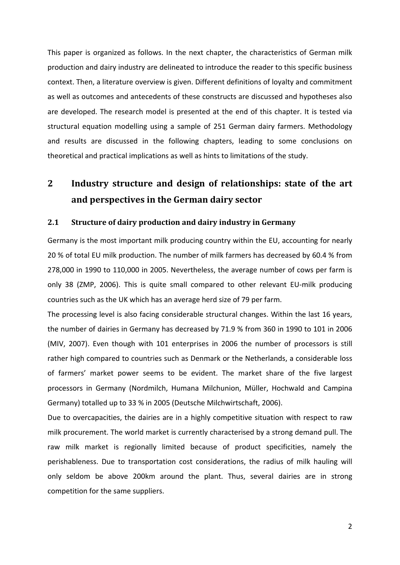This paper is organized as follows. In the next chapter, the characteristics of German milk production and dairy industry are delineated to introduce the reader to this specific business context. Then, a literature overview is given. Different definitions of loyalty and commitment as well as outcomes and antecedents of these constructs are discussed and hypotheses also are developed. The research model is presented at the end of this chapter. It is tested via structural equation modelling using a sample of 251 German dairy farmers. Methodology and results are discussed in the following chapters, leading to some conclusions on theoretical and practical implications as well as hints to limitations of the study.

## **2 Industry structure and design of relationships: state of the art and perspectives in the German dairy sector**

#### **2.1 Structure of dairy production and dairy industry in Germany**

Germany is the most important milk producing country within the EU, accounting for nearly 20 % of total EU milk production. The number of milk farmers has decreased by 60.4 % from 278,000 in 1990 to 110,000 in 2005. Nevertheless, the average number of cows per farm is only 38 (ZMP, 2006). This is quite small compared to other relevant EU‐milk producing countries such as the UK which has an average herd size of 79 per farm.

The processing level is also facing considerable structural changes. Within the last 16 years, the number of dairies in Germany has decreased by 71.9 % from 360 in 1990 to 101 in 2006 (MIV, 2007). Even though with 101 enterprises in 2006 the number of processors is still rather high compared to countries such as Denmark or the Netherlands, a considerable loss of farmers' market power seems to be evident. The market share of the five largest processors in Germany (Nordmilch, Humana Milchunion, Müller, Hochwald and Campina Germany) totalled up to 33 % in 2005 (Deutsche Milchwirtschaft, 2006).

Due to overcapacities, the dairies are in a highly competitive situation with respect to raw milk procurement. The world market is currently characterised by a strong demand pull. The raw milk market is regionally limited because of product specificities, namely the perishableness. Due to transportation cost considerations, the radius of milk hauling will only seldom be above 200km around the plant. Thus, several dairies are in strong competition for the same suppliers.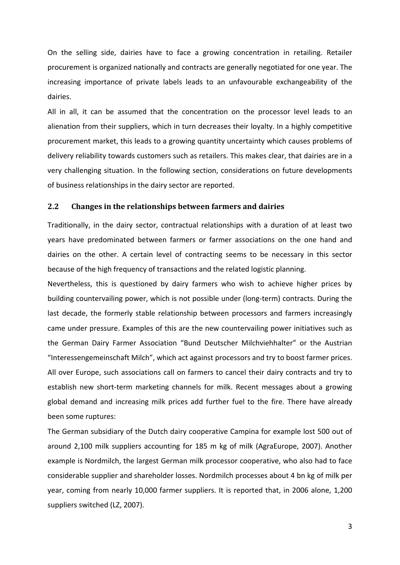On the selling side, dairies have to face a growing concentration in retailing. Retailer procurement is organized nationally and contracts are generally negotiated for one year. The increasing importance of private labels leads to an unfavourable exchangeability of the dairies.

All in all, it can be assumed that the concentration on the processor level leads to an alienation from their suppliers, which in turn decreases their loyalty. In a highly competitive procurement market, this leads to a growing quantity uncertainty which causes problems of delivery reliability towards customers such as retailers. This makes clear, that dairies are in a very challenging situation. In the following section, considerations on future developments of business relationships in the dairy sector are reported.

#### **2.2 Changes in the relationships between farmers and dairies**

Traditionally, in the dairy sector, contractual relationships with a duration of at least two years have predominated between farmers or farmer associations on the one hand and dairies on the other. A certain level of contracting seems to be necessary in this sector because of the high frequency of transactions and the related logistic planning.

Nevertheless, this is questioned by dairy farmers who wish to achieve higher prices by building countervailing power, which is not possible under (long‐term) contracts. During the last decade, the formerly stable relationship between processors and farmers increasingly came under pressure. Examples of this are the new countervailing power initiatives such as the German Dairy Farmer Association "Bund Deutscher Milchviehhalter" or the Austrian "Interessengemeinschaft Milch", which act against processors and try to boost farmer prices. All over Europe, such associations call on farmers to cancel their dairy contracts and try to establish new short‐term marketing channels for milk. Recent messages about a growing global demand and increasing milk prices add further fuel to the fire. There have already been some ruptures:

The German subsidiary of the Dutch dairy cooperative Campina for example lost 500 out of around 2,100 milk suppliers accounting for 185 m kg of milk (AgraEurope, 2007). Another example is Nordmilch, the largest German milk processor cooperative, who also had to face considerable supplier and shareholder losses. Nordmilch processes about 4 bn kg of milk per year, coming from nearly 10,000 farmer suppliers. It is reported that, in 2006 alone, 1,200 suppliers switched (LZ, 2007).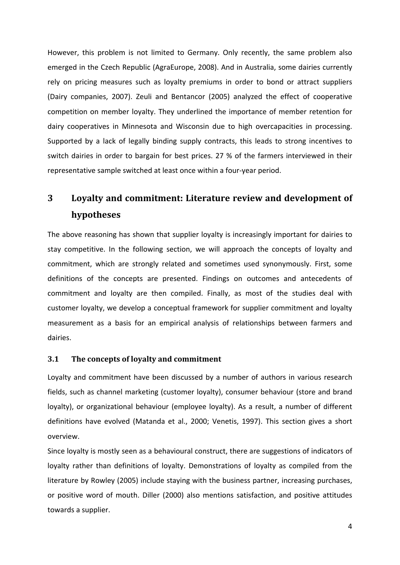However, this problem is not limited to Germany. Only recently, the same problem also emerged in the Czech Republic (AgraEurope, 2008). And in Australia, some dairies currently rely on pricing measures such as loyalty premiums in order to bond or attract suppliers (Dairy companies, 2007). Zeuli and Bentancor (2005) analyzed the effect of cooperative competition on member loyalty. They underlined the importance of member retention for dairy cooperatives in Minnesota and Wisconsin due to high overcapacities in processing. Supported by a lack of legally binding supply contracts, this leads to strong incentives to switch dairies in order to bargain for best prices. 27 % of the farmers interviewed in their representative sample switched at least once within a four‐year period.

# **3 Loyalty and commitment: Literature review and development of hypotheses**

The above reasoning has shown that supplier loyalty is increasingly important for dairies to stay competitive. In the following section, we will approach the concepts of loyalty and commitment, which are strongly related and sometimes used synonymously. First, some definitions of the concepts are presented. Findings on outcomes and antecedents of commitment and loyalty are then compiled. Finally, as most of the studies deal with customer loyalty, we develop a conceptual framework for supplier commitment and loyalty measurement as a basis for an empirical analysis of relationships between farmers and dairies.

#### **3.1 The concepts of loyalty and commitment**

Loyalty and commitment have been discussed by a number of authors in various research fields, such as channel marketing (customer loyalty), consumer behaviour (store and brand loyalty), or organizational behaviour (employee loyalty). As a result, a number of different definitions have evolved (Matanda et al., 2000; Venetis, 1997). This section gives a short overview.

Since loyalty is mostly seen as a behavioural construct, there are suggestions of indicators of loyalty rather than definitions of loyalty. Demonstrations of loyalty as compiled from the literature by Rowley (2005) include staying with the business partner, increasing purchases, or positive word of mouth. Diller (2000) also mentions satisfaction, and positive attitudes towards a supplier.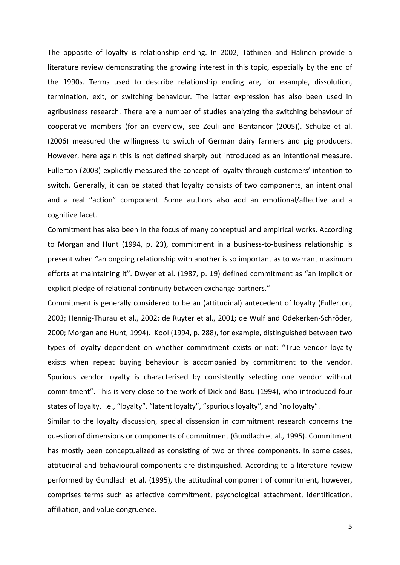The opposite of loyalty is relationship ending. In 2002, Täthinen and Halinen provide a literature review demonstrating the growing interest in this topic, especially by the end of the 1990s. Terms used to describe relationship ending are, for example, dissolution, termination, exit, or switching behaviour. The latter expression has also been used in agribusiness research. There are a number of studies analyzing the switching behaviour of cooperative members (for an overview, see Zeuli and Bentancor (2005)). Schulze et al. (2006) measured the willingness to switch of German dairy farmers and pig producers. However, here again this is not defined sharply but introduced as an intentional measure. Fullerton (2003) explicitly measured the concept of loyalty through customers' intention to switch. Generally, it can be stated that loyalty consists of two components, an intentional and a real "action" component. Some authors also add an emotional/affective and a cognitive facet.

Commitment has also been in the focus of many conceptual and empirical works. According to Morgan and Hunt (1994, p. 23), commitment in a business‐to‐business relationship is present when "an ongoing relationship with another is so important as to warrant maximum efforts at maintaining it". Dwyer et al. (1987, p. 19) defined commitment as "an implicit or explicit pledge of relational continuity between exchange partners."

Commitment is generally considered to be an (attitudinal) antecedent of loyalty (Fullerton, 2003; Hennig‐Thurau et al., 2002; de Ruyter et al., 2001; de Wulf and Odekerken‐Schröder, 2000; Morgan and Hunt, 1994). Kool (1994, p. 288), for example, distinguished between two types of loyalty dependent on whether commitment exists or not: "True vendor loyalty exists when repeat buying behaviour is accompanied by commitment to the vendor. Spurious vendor loyalty is characterised by consistently selecting one vendor without commitment". This is very close to the work of Dick and Basu (1994), who introduced four states of loyalty, i.e., "loyalty", "latent loyalty", "spurious loyalty", and "no loyalty".

Similar to the loyalty discussion, special dissension in commitment research concerns the question of dimensions or components of commitment (Gundlach et al., 1995). Commitment has mostly been conceptualized as consisting of two or three components. In some cases, attitudinal and behavioural components are distinguished. According to a literature review performed by Gundlach et al. (1995), the attitudinal component of commitment, however, comprises terms such as affective commitment, psychological attachment, identification, affiliation, and value congruence.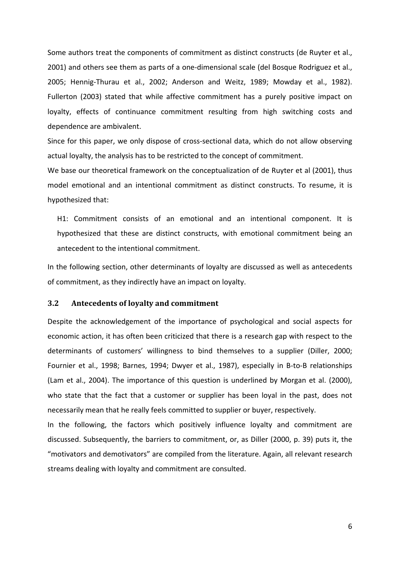Some authors treat the components of commitment as distinct constructs (de Ruyter et al., 2001) and others see them as parts of a one‐dimensional scale (del Bosque Rodriguez et al., 2005; Hennig-Thurau et al., 2002; Anderson and Weitz, 1989; Mowday et al., 1982). Fullerton (2003) stated that while affective commitment has a purely positive impact on loyalty, effects of continuance commitment resulting from high switching costs and dependence are ambivalent.

Since for this paper, we only dispose of cross‐sectional data, which do not allow observing actual loyalty, the analysis has to be restricted to the concept of commitment.

We base our theoretical framework on the conceptualization of de Ruyter et al (2001), thus model emotional and an intentional commitment as distinct constructs. To resume, it is hypothesized that:

H1: Commitment consists of an emotional and an intentional component. It is hypothesized that these are distinct constructs, with emotional commitment being an antecedent to the intentional commitment.

In the following section, other determinants of loyalty are discussed as well as antecedents of commitment, as they indirectly have an impact on loyalty.

#### **3.2 Antecedents of loyalty and commitment**

Despite the acknowledgement of the importance of psychological and social aspects for economic action, it has often been criticized that there is a research gap with respect to the determinants of customers' willingness to bind themselves to a supplier (Diller, 2000; Fournier et al., 1998; Barnes, 1994; Dwyer et al., 1987), especially in B-to-B relationships (Lam et al., 2004). The importance of this question is underlined by Morgan et al. (2000), who state that the fact that a customer or supplier has been loyal in the past, does not necessarily mean that he really feels committed to supplier or buyer, respectively.

In the following, the factors which positively influence loyalty and commitment are discussed. Subsequently, the barriers to commitment, or, as Diller (2000, p. 39) puts it, the "motivators and demotivators" are compiled from the literature. Again, all relevant research streams dealing with loyalty and commitment are consulted.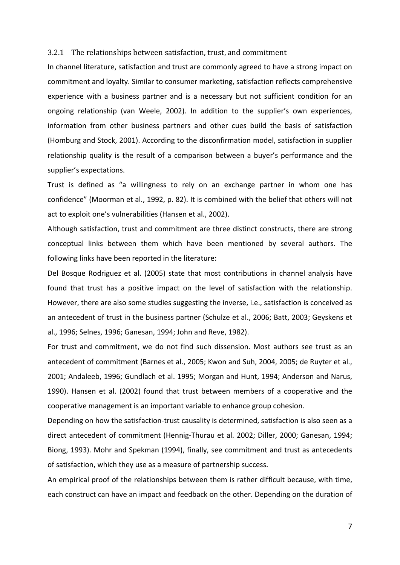#### 3.2.1 The relationships between satisfaction, trust, and commitment

In channel literature, satisfaction and trust are commonly agreed to have a strong impact on commitment and loyalty. Similar to consumer marketing, satisfaction reflects comprehensive experience with a business partner and is a necessary but not sufficient condition for an ongoing relationship (van Weele, 2002). In addition to the supplier's own experiences, information from other business partners and other cues build the basis of satisfaction (Homburg and Stock, 2001). According to the disconfirmation model, satisfaction in supplier relationship quality is the result of a comparison between a buyer's performance and the supplier's expectations.

Trust is defined as "a willingness to rely on an exchange partner in whom one has confidence" (Moorman et al., 1992, p. 82). It is combined with the belief that others will not act to exploit one's vulnerabilities (Hansen et al., 2002).

Although satisfaction, trust and commitment are three distinct constructs, there are strong conceptual links between them which have been mentioned by several authors. The following links have been reported in the literature:

Del Bosque Rodriguez et al. (2005) state that most contributions in channel analysis have found that trust has a positive impact on the level of satisfaction with the relationship. However, there are also some studies suggesting the inverse, i.e., satisfaction is conceived as an antecedent of trust in the business partner (Schulze et al., 2006; Batt, 2003; Geyskens et al., 1996; Selnes, 1996; Ganesan, 1994; John and Reve, 1982).

For trust and commitment, we do not find such dissension. Most authors see trust as an antecedent of commitment (Barnes et al., 2005; Kwon and Suh, 2004, 2005; de Ruyter et al., 2001; Andaleeb, 1996; Gundlach et al. 1995; Morgan and Hunt, 1994; Anderson and Narus, 1990). Hansen et al. (2002) found that trust between members of a cooperative and the cooperative management is an important variable to enhance group cohesion.

Depending on how the satisfaction-trust causality is determined, satisfaction is also seen as a direct antecedent of commitment (Hennig‐Thurau et al. 2002; Diller, 2000; Ganesan, 1994; Biong, 1993). Mohr and Spekman (1994), finally, see commitment and trust as antecedents of satisfaction, which they use as a measure of partnership success.

An empirical proof of the relationships between them is rather difficult because, with time, each construct can have an impact and feedback on the other. Depending on the duration of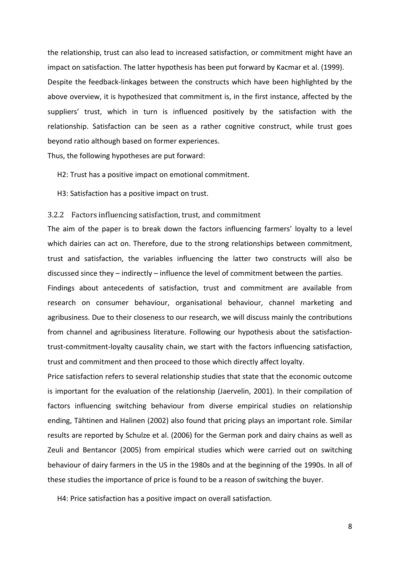the relationship, trust can also lead to increased satisfaction, or commitment might have an impact on satisfaction. The latter hypothesis has been put forward by Kacmar et al. (1999). Despite the feedback‐linkages between the constructs which have been highlighted by the above overview, it is hypothesized that commitment is, in the first instance, affected by the suppliers' trust, which in turn is influenced positively by the satisfaction with the relationship. Satisfaction can be seen as a rather cognitive construct, while trust goes beyond ratio although based on former experiences.

Thus, the following hypotheses are put forward:

H2: Trust has a positive impact on emotional commitment.

H3: Satisfaction has a positive impact on trust.

#### 3.2.2 Factors influencing satisfaction, trust, and commitment

The aim of the paper is to break down the factors influencing farmers' loyalty to a level which dairies can act on. Therefore, due to the strong relationships between commitment, trust and satisfaction, the variables influencing the latter two constructs will also be discussed since they – indirectly – influence the level of commitment between the parties.

Findings about antecedents of satisfaction, trust and commitment are available from research on consumer behaviour, organisational behaviour, channel marketing and agribusiness. Due to their closeness to our research, we will discuss mainly the contributions from channel and agribusiness literature. Following our hypothesis about the satisfaction‐ trust‐commitment‐loyalty causality chain, we start with the factors influencing satisfaction, trust and commitment and then proceed to those which directly affect loyalty.

Price satisfaction refers to several relationship studies that state that the economic outcome is important for the evaluation of the relationship (Jaervelin, 2001). In their compilation of factors influencing switching behaviour from diverse empirical studies on relationship ending, Tähtinen and Halinen (2002) also found that pricing plays an important role. Similar results are reported by Schulze et al. (2006) for the German pork and dairy chains as well as Zeuli and Bentancor (2005) from empirical studies which were carried out on switching behaviour of dairy farmers in the US in the 1980s and at the beginning of the 1990s. In all of these studies the importance of price is found to be a reason of switching the buyer.

H4: Price satisfaction has a positive impact on overall satisfaction.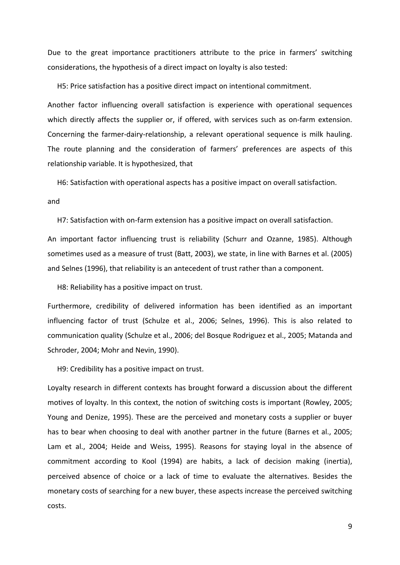Due to the great importance practitioners attribute to the price in farmers' switching considerations, the hypothesis of a direct impact on loyalty is also tested:

H5: Price satisfaction has a positive direct impact on intentional commitment.

Another factor influencing overall satisfaction is experience with operational sequences which directly affects the supplier or, if offered, with services such as on-farm extension. Concerning the farmer‐dairy‐relationship, a relevant operational sequence is milk hauling. The route planning and the consideration of farmers' preferences are aspects of this relationship variable. It is hypothesized, that

H6: Satisfaction with operational aspects has a positive impact on overall satisfaction.

#### and

H7: Satisfaction with on‐farm extension has a positive impact on overall satisfaction.

An important factor influencing trust is reliability (Schurr and Ozanne, 1985). Although sometimes used as a measure of trust (Batt, 2003), we state, in line with Barnes et al. (2005) and Selnes (1996), that reliability is an antecedent of trust rather than a component.

H8: Reliability has a positive impact on trust.

Furthermore, credibility of delivered information has been identified as an important influencing factor of trust (Schulze et al., 2006; Selnes, 1996). This is also related to communication quality (Schulze et al., 2006; del Bosque Rodriguez et al., 2005; Matanda and Schroder, 2004; Mohr and Nevin, 1990).

H9: Credibility has a positive impact on trust.

Loyalty research in different contexts has brought forward a discussion about the different motives of loyalty. In this context, the notion of switching costs is important (Rowley, 2005; Young and Denize, 1995). These are the perceived and monetary costs a supplier or buyer has to bear when choosing to deal with another partner in the future (Barnes et al., 2005; Lam et al., 2004; Heide and Weiss, 1995). Reasons for staying loyal in the absence of commitment according to Kool (1994) are habits, a lack of decision making (inertia), perceived absence of choice or a lack of time to evaluate the alternatives. Besides the monetary costs of searching for a new buyer, these aspects increase the perceived switching costs.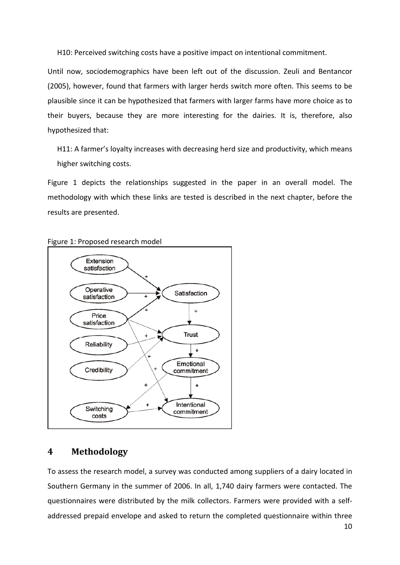H10: Perceived switching costs have a positive impact on intentional commitment.

Until now, sociodemographics have been left out of the discussion. Zeuli and Bentancor (2005), however, found that farmers with larger herds switch more often. This seems to be plausible since it can be hypothesized that farmers with larger farms have more choice as to their buyers, because they are more interesting for the dairies. It is, therefore, also hypothesized that:

H11: A farmer's loyalty increases with decreasing herd size and productivity, which means higher switching costs.

Figure 1 depicts the relationships suggested in the paper in an overall model. The methodology with which these links are tested is described in the next chapter, before the results are presented.





### **4 Methodology**

To assess the research model, a survey was conducted among suppliers of a dairy located in Southern Germany in the summer of 2006. In all, 1,740 dairy farmers were contacted. The questionnaires were distributed by the milk collectors. Farmers were provided with a self‐ addressed prepaid envelope and asked to return the completed questionnaire within three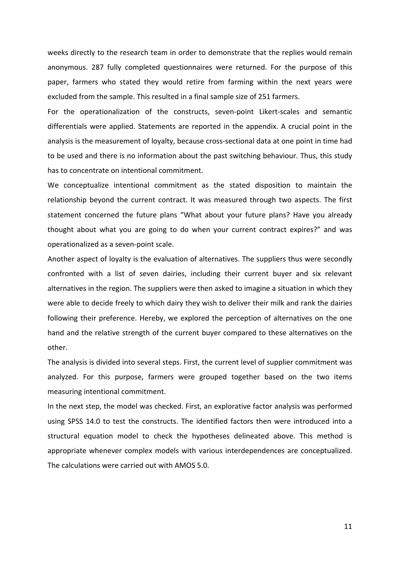weeks directly to the research team in order to demonstrate that the replies would remain anonymous. 287 fully completed questionnaires were returned. For the purpose of this paper, farmers who stated they would retire from farming within the next years were excluded from the sample. This resulted in a final sample size of 251 farmers.

For the operationalization of the constructs, seven-point Likert-scales and semantic differentials were applied. Statements are reported in the appendix. A crucial point in the analysis is the measurement of loyalty, because cross-sectional data at one point in time had to be used and there is no information about the past switching behaviour. Thus, this study has to concentrate on intentional commitment.

We conceptualize intentional commitment as the stated disposition to maintain the relationship beyond the current contract. It was measured through two aspects. The first statement concerned the future plans "What about your future plans? Have you already thought about what you are going to do when your current contract expires?" and was operationalized as a seven‐point scale.

Another aspect of loyalty is the evaluation of alternatives. The suppliers thus were secondly confronted with a list of seven dairies, including their current buyer and six relevant alternatives in the region. The suppliers were then asked to imagine a situation in which they were able to decide freely to which dairy they wish to deliver their milk and rank the dairies following their preference. Hereby, we explored the perception of alternatives on the one hand and the relative strength of the current buyer compared to these alternatives on the other.

The analysis is divided into several steps. First, the current level of supplier commitment was analyzed. For this purpose, farmers were grouped together based on the two items measuring intentional commitment.

In the next step, the model was checked. First, an explorative factor analysis was performed using SPSS 14.0 to test the constructs. The identified factors then were introduced into a structural equation model to check the hypotheses delineated above. This method is appropriate whenever complex models with various interdependences are conceptualized. The calculations were carried out with AMOS 5.0.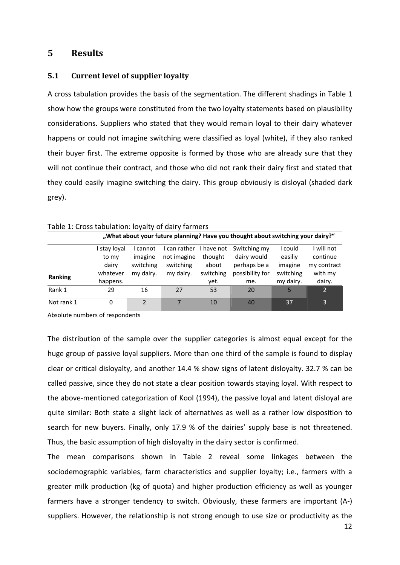### **5 Results**

### **5.1 Current level of supplier loyalty**

A cross tabulation provides the basis of the segmentation. The different shadings in Table 1 show how the groups were constituted from the two loyalty statements based on plausibility considerations. Suppliers who stated that they would remain loyal to their dairy whatever happens or could not imagine switching were classified as loyal (white), if they also ranked their buyer first. The extreme opposite is formed by those who are already sure that they will not continue their contract, and those who did not rank their dairy first and stated that they could easily imagine switching the dairy. This group obviously is disloyal (shaded dark grey).

| Table 1. Cross tabalation. Toyanty or daily farmers                             |            |           |              |            |                 |           |                |  |
|---------------------------------------------------------------------------------|------------|-----------|--------------|------------|-----------------|-----------|----------------|--|
| "What about your future planning? Have you thought about switching your dairy?" |            |           |              |            |                 |           |                |  |
|                                                                                 | stay loyal | I cannot  | I can rather | I have not | Switching my    | I could   | I will not     |  |
|                                                                                 | to my      | imagine   | not imagine  | thought    | dairy would     | easiliy   | continue       |  |
|                                                                                 | dairy      | switching | switching    | about      | perhaps be a    | imagine   | my contract    |  |
|                                                                                 | whatever   | my dairy. | my dairy.    | switching  | possibility for | switching | with my        |  |
| Ranking                                                                         | happens.   |           |              | yet.       | me.             | my dairy. | dairy.         |  |
| Rank 1                                                                          | 29         | 16        | 27           | 53         | 20              |           | $\overline{2}$ |  |
| Not rank 1                                                                      | 0          | 2         |              | 10         | 40              | 37        | 3              |  |

#### Table 1: Cross tabulation: loyalty of dairy farmers

Absolute numbers of respondents

The distribution of the sample over the supplier categories is almost equal except for the huge group of passive loyal suppliers. More than one third of the sample is found to display clear or critical disloyalty, and another 14.4 % show signs of latent disloyalty. 32.7 % can be called passive, since they do not state a clear position towards staying loyal. With respect to the above‐mentioned categorization of Kool (1994), the passive loyal and latent disloyal are quite similar: Both state a slight lack of alternatives as well as a rather low disposition to search for new buyers. Finally, only 17.9 % of the dairies' supply base is not threatened. Thus, the basic assumption of high disloyalty in the dairy sector is confirmed.

The mean comparisons shown in Table 2 reveal some linkages between the sociodemographic variables, farm characteristics and supplier loyalty; i.e., farmers with a greater milk production (kg of quota) and higher production efficiency as well as younger farmers have a stronger tendency to switch. Obviously, these farmers are important (A‐) suppliers. However, the relationship is not strong enough to use size or productivity as the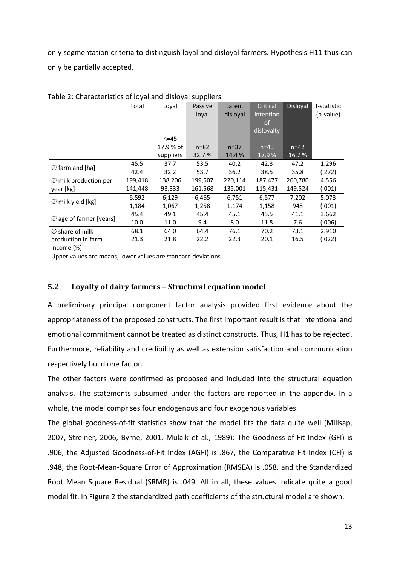only segmentation criteria to distinguish loyal and disloyal farmers. Hypothesis H11 thus can only be partially accepted.

| rabic 2. Characteristics or loyal and disioval suppliers |         |           |          |          |               |                 |             |
|----------------------------------------------------------|---------|-----------|----------|----------|---------------|-----------------|-------------|
|                                                          | Total   | Loyal     | Passive  | Latent   | Critical      | <b>Disloyal</b> | f-statistic |
|                                                          |         |           | loyal    | disloyal | intention     |                 | (p-value)   |
|                                                          |         |           |          |          | <sub>of</sub> |                 |             |
|                                                          |         |           |          |          | disloyalty    |                 |             |
|                                                          |         | $n = 45$  |          |          |               |                 |             |
|                                                          |         | 17.9 % of | $n = 82$ | $n = 37$ | $n=45$        | $n = 42$        |             |
|                                                          |         | suppliers | 32.7 %   | 14.4 %   | 17.9%         | 16.7%           |             |
|                                                          | 45.5    | 37.7      | 53.5     | 40.2     | 42.3          | 47.2            | 1.296       |
| $\varnothing$ farmland [ha]                              | 42.4    | 32.2      | 53.7     | 36.2     | 38.5          | 35.8            | (.272)      |
| $\varnothing$ milk production per                        | 199,418 | 138,206   | 199,507  | 220,114  | 187,477       | 260,780         | 4.556       |
| year [kg]                                                | 141,448 | 93,333    | 161,568  | 135,001  | 115,431       | 149,524         | (.001)      |
|                                                          | 6,592   | 6,129     | 6,465    | 6,751    | 6,577         | 7,202           | 5.073       |
| $\varnothing$ milk yield [kg]                            | 1,184   | 1,067     | 1,258    | 1,174    | 1,158         | 948             | (.001)      |
|                                                          | 45.4    | 49.1      | 45.4     | 45.1     | 45.5          | 41.1            | 3.662       |
| $\varnothing$ age of farmer [years]                      | 10.0    | 11.0      | 9.4      | 8.0      | 11.8          | 7.6             | (.006)      |
| $\varnothing$ share of milk                              | 68.1    | 64.0      | 64.4     | 76.1     | 70.2          | 73.1            | 2.910       |
| production in farm                                       | 21.3    | 21.8      | 22.2     | 22.3     | 20.1          | 16.5            | (.022)      |
| income [%]                                               |         |           |          |          |               |                 |             |

Table 2: Characteristics of loyal and disloyal suppliers

Upper values are means; lower values are standard deviations.

### **5.2 Loyalty of dairy farmers – Structural equation model**

A preliminary principal component factor analysis provided first evidence about the appropriateness of the proposed constructs. The first important result is that intentional and emotional commitment cannot be treated as distinct constructs. Thus, H1 has to be rejected. Furthermore, reliability and credibility as well as extension satisfaction and communication respectively build one factor.

The other factors were confirmed as proposed and included into the structural equation analysis. The statements subsumed under the factors are reported in the appendix. In a whole, the model comprises four endogenous and four exogenous variables.

The global goodness-of-fit statistics show that the model fits the data quite well (Millsap, 2007, Streiner, 2006, Byrne, 2001, Mulaik et al., 1989): The Goodness-of-Fit Index (GFI) is .906, the Adjusted Goodness‐of‐Fit Index (AGFI) is .867, the Comparative Fit Index (CFI) is .948, the Root‐Mean‐Square Error of Approximation (RMSEA) is .058, and the Standardized Root Mean Square Residual (SRMR) is .049. All in all, these values indicate quite a good model fit. In Figure 2 the standardized path coefficients of the structural model are shown.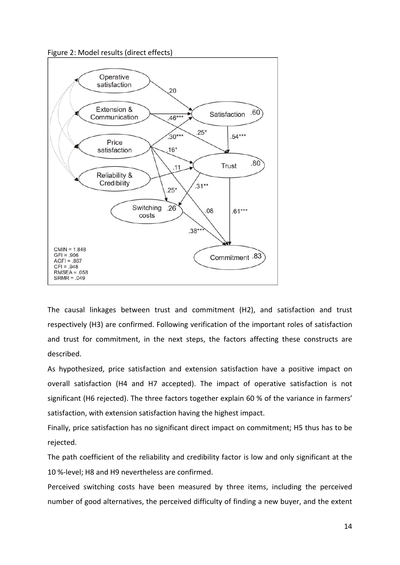



The causal linkages between trust and commitment (H2), and satisfaction and trust respectively (H3) are confirmed. Following verification of the important roles of satisfaction and trust for commitment, in the next steps, the factors affecting these constructs are described.

As hypothesized, price satisfaction and extension satisfaction have a positive impact on overall satisfaction (H4 and H7 accepted). The impact of operative satisfaction is not significant (H6 rejected). The three factors together explain 60 % of the variance in farmers' satisfaction, with extension satisfaction having the highest impact.

Finally, price satisfaction has no significant direct impact on commitment; H5 thus has to be rejected.

The path coefficient of the reliability and credibility factor is low and only significant at the 10 %‐level; H8 and H9 nevertheless are confirmed.

Perceived switching costs have been measured by three items, including the perceived number of good alternatives, the perceived difficulty of finding a new buyer, and the extent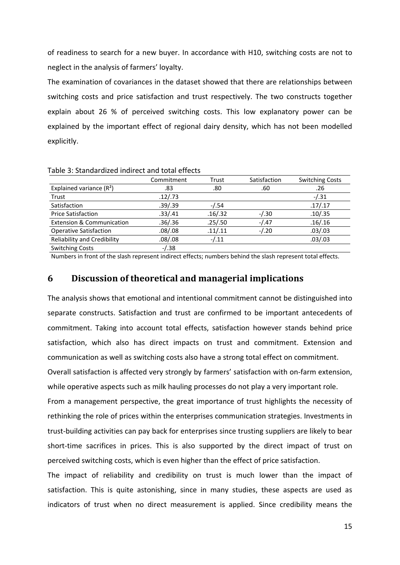of readiness to search for a new buyer. In accordance with H10, switching costs are not to neglect in the analysis of farmers' loyalty.

The examination of covariances in the dataset showed that there are relationships between switching costs and price satisfaction and trust respectively. The two constructs together explain about 26 % of perceived switching costs. This low explanatory power can be explained by the important effect of regional dairy density, which has not been modelled explicitly.

| כוסטוכ ט, טנטווטטו טובכט וווטווכטג טווט נטנטו כווכטנט |            |         |              |                        |  |  |  |
|-------------------------------------------------------|------------|---------|--------------|------------------------|--|--|--|
|                                                       | Commitment | Trust   | Satisfaction | <b>Switching Costs</b> |  |  |  |
| Explained variance $(R2)$                             | .83        | .80     | .60          | .26                    |  |  |  |
| Trust                                                 | .12/.73    |         |              | $-1.31$                |  |  |  |
| Satisfaction                                          | .39/.39    | -/.54   |              | .17/.17                |  |  |  |
| <b>Price Satisfaction</b>                             | .33/.41    | .16/.32 | $-/-30$      | .10/.35                |  |  |  |
| <b>Extension &amp; Communication</b>                  | .36/.36    | .25/.50 | $-1.47$      | .16/.16                |  |  |  |
| <b>Operative Satisfaction</b>                         | .08/.08    | .11/.11 | $-1.20$      | .03/.03                |  |  |  |
| <b>Reliability and Credibility</b>                    | .08/.08    | $-1.11$ |              | .03/.03                |  |  |  |
| <b>Switching Costs</b>                                | $-1.38$    |         |              |                        |  |  |  |

Table 3: Standardized indirect and total effects

Numbers in front of the slash represent indirect effects; numbers behind the slash represent total effects.

### **6 Discussion of theoretical and managerial implications**

The analysis shows that emotional and intentional commitment cannot be distinguished into separate constructs. Satisfaction and trust are confirmed to be important antecedents of commitment. Taking into account total effects, satisfaction however stands behind price satisfaction, which also has direct impacts on trust and commitment. Extension and communication as well as switching costs also have a strong total effect on commitment.

Overall satisfaction is affected very strongly by farmers' satisfaction with on‐farm extension, while operative aspects such as milk hauling processes do not play a very important role.

From a management perspective, the great importance of trust highlights the necessity of rethinking the role of prices within the enterprises communication strategies. Investments in trust‐building activities can pay back for enterprises since trusting suppliers are likely to bear short-time sacrifices in prices. This is also supported by the direct impact of trust on perceived switching costs, which is even higher than the effect of price satisfaction.

The impact of reliability and credibility on trust is much lower than the impact of satisfaction. This is quite astonishing, since in many studies, these aspects are used as indicators of trust when no direct measurement is applied. Since credibility means the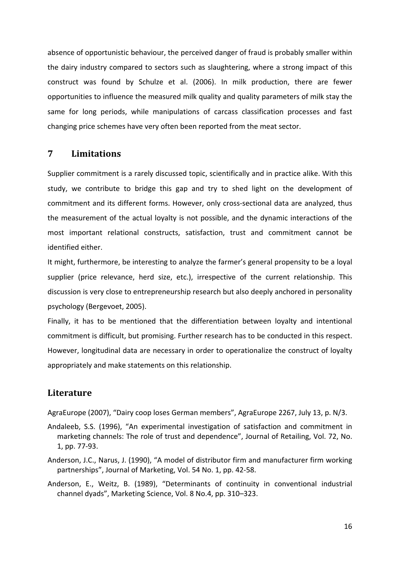absence of opportunistic behaviour, the perceived danger of fraud is probably smaller within the dairy industry compared to sectors such as slaughtering, where a strong impact of this construct was found by Schulze et al. (2006). In milk production, there are fewer opportunities to influence the measured milk quality and quality parameters of milk stay the same for long periods, while manipulations of carcass classification processes and fast changing price schemes have very often been reported from the meat sector.

### **7 Limitations**

Supplier commitment is a rarely discussed topic, scientifically and in practice alike. With this study, we contribute to bridge this gap and try to shed light on the development of commitment and its different forms. However, only cross‐sectional data are analyzed, thus the measurement of the actual loyalty is not possible, and the dynamic interactions of the most important relational constructs, satisfaction, trust and commitment cannot be identified either.

It might, furthermore, be interesting to analyze the farmer's general propensity to be a loyal supplier (price relevance, herd size, etc.), irrespective of the current relationship. This discussion is very close to entrepreneurship research but also deeply anchored in personality psychology (Bergevoet, 2005).

Finally, it has to be mentioned that the differentiation between loyalty and intentional commitment is difficult, but promising. Further research has to be conducted in this respect. However, longitudinal data are necessary in order to operationalize the construct of loyalty appropriately and make statements on this relationship.

### **Literature**

AgraEurope (2007), "Dairy coop loses German members", AgraEurope 2267, July 13, p. N/3.

- Andaleeb, S.S. (1996), "An experimental investigation of satisfaction and commitment in marketing channels: The role of trust and dependence", Journal of Retailing, Vol. 72, No. 1, pp. 77‐93.
- Anderson, J.C., Narus, J. (1990), "A model of distributor firm and manufacturer firm working partnerships", Journal of Marketing, Vol. 54 No. 1, pp. 42‐58.
- Anderson, E., Weitz, B. (1989), "Determinants of continuity in conventional industrial channel dyads", Marketing Science, Vol. 8 No.4, pp. 310–323.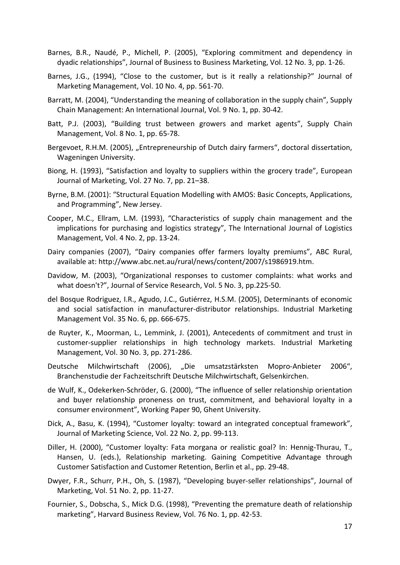- Barnes, B.R., Naudé, P., Michell, P. (2005), "Exploring commitment and dependency in dyadic relationships", Journal of Business to Business Marketing, Vol. 12 No. 3, pp. 1‐26.
- Barnes, J.G., (1994), "Close to the customer, but is it really a relationship?" Journal of Marketing Management, Vol. 10 No. 4, pp. 561‐70.
- Barratt, M. (2004), "Understanding the meaning of collaboration in the supply chain", Supply Chain Management: An International Journal, Vol. 9 No. 1, pp. 30‐42.
- Batt, P.J. (2003), "Building trust between growers and market agents", Supply Chain Management, Vol. 8 No. 1, pp. 65‐78.
- Bergevoet, R.H.M. (2005), "Entrepreneurship of Dutch dairy farmers", doctoral dissertation, Wageningen University.
- Biong, H. (1993), "Satisfaction and loyalty to suppliers within the grocery trade", European Journal of Marketing, Vol. 27 No. 7, pp. 21–38.
- Byrne, B.M. (2001): "Structural Equation Modelling with AMOS: Basic Concepts, Applications, and Programming", New Jersey.
- Cooper, M.C., Ellram, L.M. (1993), "Characteristics of supply chain management and the implications for purchasing and logistics strategy", The International Journal of Logistics Management, Vol. 4 No. 2, pp. 13‐24.
- Dairy companies (2007), "Dairy companies offer farmers loyalty premiums", ABC Rural, available at: http://www.abc.net.au/rural/news/content/2007/s1986919.htm.
- Davidow, M. (2003), "Organizational responses to customer complaints: what works and what doesn't?", Journal of Service Research, Vol. 5 No. 3, pp.225‐50.
- del Bosque Rodriguez, I.R., Agudo, J.C., Gutiérrez, H.S.M. (2005), Determinants of economic and social satisfaction in manufacturer‐distributor relationships. Industrial Marketing Management Vol. 35 No. 6, pp. 666‐675.
- de Ruyter, K., Moorman, L., Lemmink, J. (2001), Antecedents of commitment and trust in customer‐supplier relationships in high technology markets. Industrial Marketing Management, Vol. 30 No. 3, pp. 271‐286.
- Deutsche Milchwirtschaft (2006), "Die umsatzstärksten Mopro‐Anbieter 2006", Branchenstudie der Fachzeitschrift Deutsche Milchwirtschaft, Gelsenkirchen.
- de Wulf, K., Odekerken‐Schröder, G. (2000), "The influence of seller relationship orientation and buyer relationship proneness on trust, commitment, and behavioral loyalty in a consumer environment", Working Paper 90, Ghent University.
- Dick, A., Basu, K. (1994), "Customer loyalty: toward an integrated conceptual framework", Journal of Marketing Science, Vol. 22 No. 2, pp. 99‐113.
- Diller, H. (2000), "Customer loyalty: Fata morgana or realistic goal? In: Hennig‐Thurau, T., Hansen, U. (eds.), Relationship marketing. Gaining Competitive Advantage through Customer Satisfaction and Customer Retention, Berlin et al., pp. 29‐48.
- Dwyer, F.R., Schurr, P.H., Oh, S. (1987), "Developing buyer‐seller relationships", Journal of Marketing, Vol. 51 No. 2, pp. 11‐27.
- Fournier, S., Dobscha, S., Mick D.G. (1998), "Preventing the premature death of relationship marketing", Harvard Business Review, Vol. 76 No. 1, pp. 42‐53.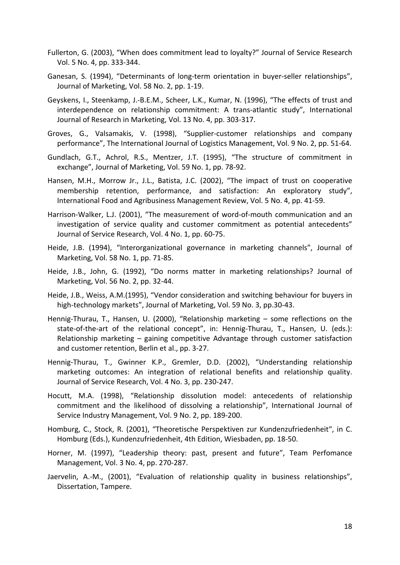- Fullerton, G. (2003), "When does commitment lead to loyalty?" Journal of Service Research Vol. 5 No. 4, pp. 333‐344.
- Ganesan, S. (1994), "Determinants of long-term orientation in buyer-seller relationships", Journal of Marketing, Vol. 58 No. 2, pp. 1‐19.
- Geyskens, I., Steenkamp, J.‐B.E.M., Scheer, L.K., Kumar, N. (1996), "The effects of trust and interdependence on relationship commitment: A trans‐atlantic study", International Journal of Research in Marketing, Vol. 13 No. 4, pp. 303‐317.
- Groves, G., Valsamakis, V. (1998), "Supplier‐customer relationships and company performance", The International Journal of Logistics Management, Vol. 9 No. 2, pp. 51‐64.
- Gundlach, G.T., Achrol, R.S., Mentzer, J.T. (1995), "The structure of commitment in exchange", Journal of Marketing, Vol. 59 No. 1, pp. 78‐92.
- Hansen, M.H., Morrow Jr., J.L., Batista, J.C. (2002), "The impact of trust on cooperative membership retention, performance, and satisfaction: An exploratory study", International Food and Agribusiness Management Review, Vol. 5 No. 4, pp. 41‐59.
- Harrison-Walker, L.J. (2001), "The measurement of word-of-mouth communication and an investigation of service quality and customer commitment as potential antecedents" Journal of Service Research, Vol. 4 No. 1, pp. 60‐75.
- Heide, J.B. (1994), "Interorganizational governance in marketing channels", Journal of Marketing, Vol. 58 No. 1, pp. 71‐85.
- Heide, J.B., John, G. (1992), "Do norms matter in marketing relationships? Journal of Marketing, Vol. 56 No. 2, pp. 32‐44.
- Heide, J.B., Weiss, A.M.(1995), "Vendor consideration and switching behaviour for buyers in high-technology markets", Journal of Marketing, Vol. 59 No. 3, pp.30-43.
- Hennig-Thurau, T., Hansen, U. (2000), "Relationship marketing some reflections on the state-of-the-art of the relational concept", in: Hennig-Thurau, T., Hansen, U. (eds.): Relationship marketing – gaining competitive Advantage through customer satisfaction and customer retention, Berlin et al., pp. 3‐27.
- Hennig‐Thurau, T., Gwinner K.P., Gremler, D.D. (2002), "Understanding relationship marketing outcomes: An integration of relational benefits and relationship quality. Journal of Service Research, Vol. 4 No. 3, pp. 230‐247.
- Hocutt, M.A. (1998), "Relationship dissolution model: antecedents of relationship commitment and the likelihood of dissolving a relationship", International Journal of Service Industry Management, Vol. 9 No. 2, pp. 189‐200.
- Homburg, C., Stock, R. (2001), "Theoretische Perspektiven zur Kundenzufriedenheit", in C. Homburg (Eds.), Kundenzufriedenheit, 4th Edition, Wiesbaden, pp. 18‐50.
- Horner, M. (1997), "Leadership theory: past, present and future", Team Perfomance Management, Vol. 3 No. 4, pp. 270‐287.
- Jaervelin, A.-M., (2001), "Evaluation of relationship quality in business relationships", Dissertation, Tampere.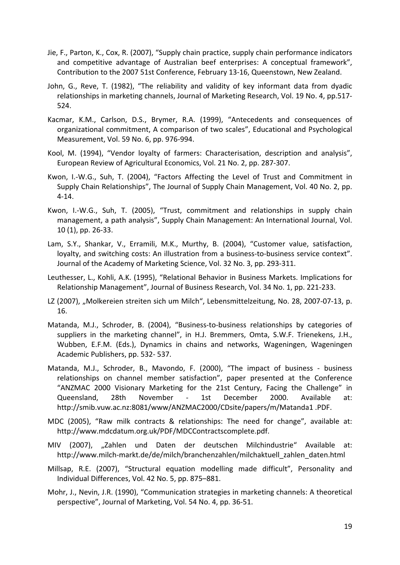- Jie, F., Parton, K., Cox, R. (2007), "Supply chain practice, supply chain performance indicators and competitive advantage of Australian beef enterprises: A conceptual framework", Contribution to the 2007 51st Conference, February 13‐16, Queenstown, New Zealand.
- John, G., Reve, T. (1982), "The reliability and validity of key informant data from dyadic relationships in marketing channels, Journal of Marketing Research, Vol. 19 No. 4, pp.517‐ 524.
- Kacmar, K.M., Carlson, D.S., Brymer, R.A. (1999), "Antecedents and consequences of organizational commitment, A comparison of two scales", Educational and Psychological Measurement, Vol. 59 No. 6, pp. 976‐994.
- Kool, M. (1994), "Vendor loyalty of farmers: Characterisation, description and analysis", European Review of Agricultural Economics, Vol. 21 No. 2, pp. 287‐307.
- Kwon, I.‐W.G., Suh, T. (2004), "Factors Affecting the Level of Trust and Commitment in Supply Chain Relationships", The Journal of Supply Chain Management, Vol. 40 No. 2, pp. 4‐14.
- Kwon, I.‐W.G., Suh, T. (2005), "Trust, commitment and relationships in supply chain management, a path analysis", Supply Chain Management: An International Journal, Vol. 10 (1), pp. 26‐33.
- Lam, S.Y., Shankar, V., Erramili, M.K., Murthy, B. (2004), "Customer value, satisfaction, loyalty, and switching costs: An illustration from a business‐to‐business service context". Journal of the Academy of Marketing Science, Vol. 32 No. 3, pp. 293‐311.
- Leuthesser, L., Kohli, A.K. (1995), "Relational Behavior in Business Markets. Implications for Relationship Management", Journal of Business Research, Vol. 34 No. 1, pp. 221‐233.
- LZ (2007), "Molkereien streiten sich um Milch", Lebensmittelzeitung, No. 28, 2007-07-13, p. 16.
- Matanda, M.J., Schroder, B. (2004), "Business-to-business relationships by categories of suppliers in the marketing channel", in H.J. Bremmers, Omta, S.W.F. Trienekens, J.H., Wubben, E.F.M. (Eds.), Dynamics in chains and networks, Wageningen, Wageningen Academic Publishers, pp. 532‐ 537.
- Matanda, M.J., Schroder, B., Mavondo, F. (2000), "The impact of business ‐ business relationships on channel member satisfaction", paper presented at the Conference "ANZMAC 2000 Visionary Marketing for the 21st Century, Facing the Challenge" in Queensland, 28th November - 1st December 2000. Available at: http://smib.vuw.ac.nz:8081/www/ANZMAC2000/CDsite/papers/m/Matanda1 .PDF.
- MDC (2005), "Raw milk contracts & relationships: The need for change", available at: http://www.mdcdatum.org.uk/PDF/MDCContractscomplete.pdf.
- MIV (2007), "Zahlen und Daten der deutschen Milchindustrie" Available at: http://www.milch‐markt.de/de/milch/branchenzahlen/milchaktuell\_zahlen\_daten.html
- Millsap, R.E. (2007), "Structural equation modelling made difficult", Personality and Individual Differences, Vol. 42 No. 5, pp. 875–881.
- Mohr, J., Nevin, J.R. (1990), "Communication strategies in marketing channels: A theoretical perspective", Journal of Marketing, Vol. 54 No. 4, pp. 36‐51.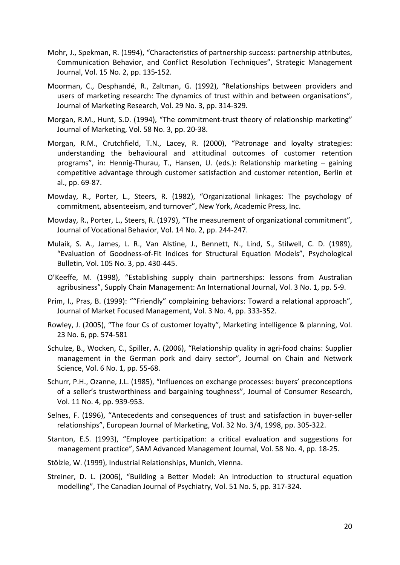- Mohr, J., Spekman, R. (1994), "Characteristics of partnership success: partnership attributes, Communication Behavior, and Conflict Resolution Techniques", Strategic Management Journal, Vol. 15 No. 2, pp. 135‐152.
- Moorman, C., Desphandé, R., Zaltman, G. (1992), "Relationships between providers and users of marketing research: The dynamics of trust within and between organisations", Journal of Marketing Research, Vol. 29 No. 3, pp. 314‐329.
- Morgan, R.M., Hunt, S.D. (1994), "The commitment‐trust theory of relationship marketing" Journal of Marketing, Vol. 58 No. 3, pp. 20‐38.
- Morgan, R.M., Crutchfield, T.N., Lacey, R. (2000), "Patronage and loyalty strategies: understanding the behavioural and attitudinal outcomes of customer retention programs", in: Hennig‐Thurau, T., Hansen, U. (eds.): Relationship marketing – gaining competitive advantage through customer satisfaction and customer retention, Berlin et al., pp. 69‐87.
- Mowday, R., Porter, L., Steers, R. (1982), "Organizational linkages: The psychology of commitment, absenteeism, and turnover", New York, Academic Press, Inc.
- Mowday, R., Porter, L., Steers, R. (1979), "The measurement of organizational commitment", Journal of Vocational Behavior, Vol. 14 No. 2, pp. 244‐247.
- Mulaik, S. A., James, L. R., Van Alstine, J., Bennett, N., Lind, S., Stilwell, C. D. (1989), "Evaluation of Goodness‐of‐Fit Indices for Structural Equation Models", Psychological Bulletin, Vol. 105 No. 3, pp. 430‐445.
- O'Keeffe, M. (1998), "Establishing supply chain partnerships: lessons from Australian agribusiness", Supply Chain Management: An International Journal, Vol. 3 No. 1, pp. 5‐9.
- Prim, I., Pras, B. (1999): ""Friendly" complaining behaviors: Toward a relational approach", Journal of Market Focused Management, Vol. 3 No. 4, pp. 333‐352.
- Rowley, J. (2005), "The four Cs of customer loyalty", Marketing intelligence & planning, Vol. 23 No. 6, pp. 574‐581
- Schulze, B., Wocken, C., Spiller, A. (2006), "Relationship quality in agri-food chains: Supplier management in the German pork and dairy sector", Journal on Chain and Network Science, Vol. 6 No. 1, pp. 55‐68.
- Schurr, P.H., Ozanne, J.L. (1985), "Influences on exchange processes: buyers' preconceptions of a seller's trustworthiness and bargaining toughness", Journal of Consumer Research, Vol. 11 No. 4, pp. 939‐953.
- Selnes, F. (1996), "Antecedents and consequences of trust and satisfaction in buyer-seller relationships", European Journal of Marketing, Vol. 32 No. 3/4, 1998, pp. 305‐322.
- Stanton, E.S. (1993), "Employee participation: a critical evaluation and suggestions for management practice", SAM Advanced Management Journal, Vol. 58 No. 4, pp. 18‐25.
- Stölzle, W. (1999), Industrial Relationships, Munich, Vienna.
- Streiner, D. L. (2006), "Building a Better Model: An introduction to structural equation modelling", The Canadian Journal of Psychiatry, Vol. 51 No. 5, pp. 317‐324.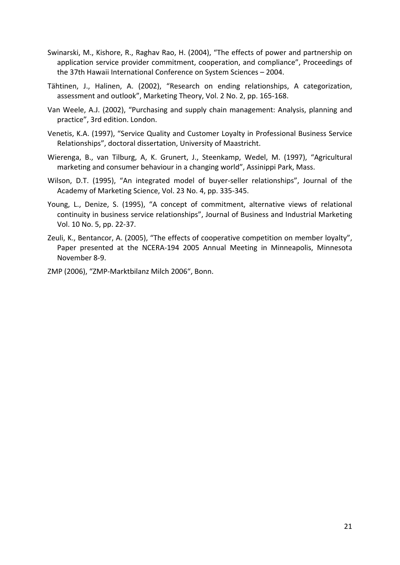- Swinarski, M., Kishore, R., Raghav Rao, H. (2004), "The effects of power and partnership on application service provider commitment, cooperation, and compliance", Proceedings of the 37th Hawaii International Conference on System Sciences – 2004.
- Tähtinen, J., Halinen, A. (2002), "Research on ending relationships, A categorization, assessment and outlook", Marketing Theory, Vol. 2 No. 2, pp. 165‐168.
- Van Weele, A.J. (2002), "Purchasing and supply chain management: Analysis, planning and practice", 3rd edition. London.
- Venetis, K.A. (1997), "Service Quality and Customer Loyalty in Professional Business Service Relationships", doctoral dissertation, University of Maastricht.
- Wierenga, B., van Tilburg, A, K. Grunert, J., Steenkamp, Wedel, M. (1997), "Agricultural marketing and consumer behaviour in a changing world", Assinippi Park, Mass.
- Wilson, D.T. (1995), "An integrated model of buyer-seller relationships", Journal of the Academy of Marketing Science, Vol. 23 No. 4, pp. 335‐345.
- Young, L., Denize, S. (1995), "A concept of commitment, alternative views of relational continuity in business service relationships", Journal of Business and Industrial Marketing Vol. 10 No. 5, pp. 22‐37.
- Zeuli, K., Bentancor, A. (2005), "The effects of cooperative competition on member loyalty", Paper presented at the NCERA‐194 2005 Annual Meeting in Minneapolis, Minnesota November 8‐9.
- ZMP (2006), "ZMP‐Marktbilanz Milch 2006", Bonn.